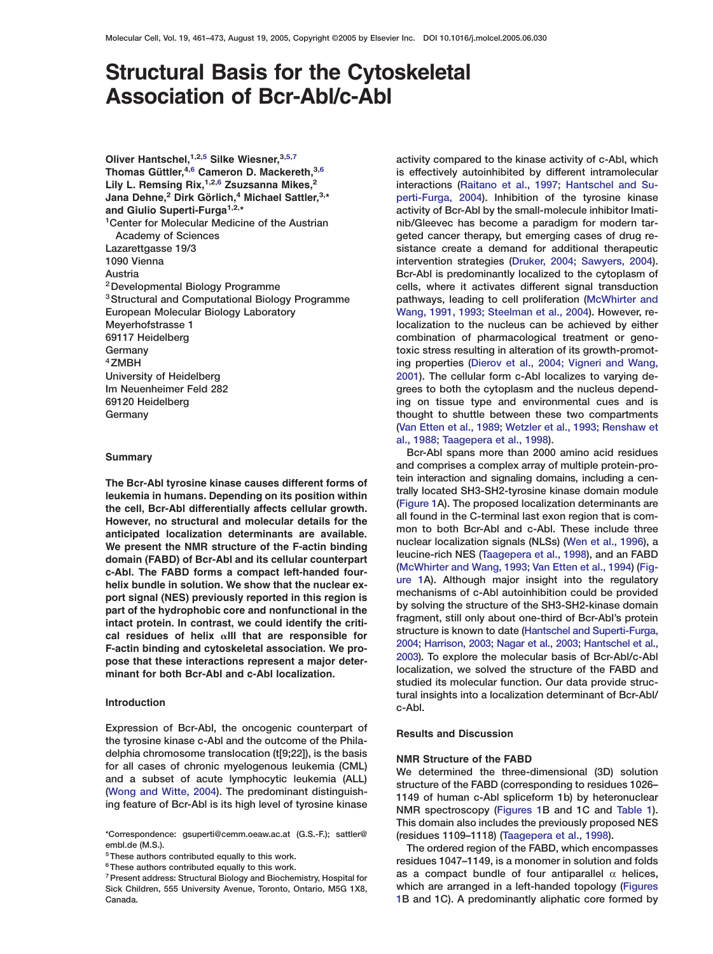# **Structural Basis for the Cytoskeletal Association of Bcr-Abl/c-Abl**

**Oliver Hantschel,1,2,5 Silke Wiesner,3,5,7 activity compared to the kinase activity of c-Abl, which**

anticipated localization determinants are available.<br>We present the NMR structure of the F-actin binding<br>domain (EARD) of Ber-Abl and its cellular counternart leucine-rich NES (Taagepera et al., 1998), and an FABD domain (FABD) of Bcr-Abl and its cellular counterpart<br>
c-Abl. The FABD forms a compact left-handed four-<br>
helix bundle in solution. We show that the nuclear ex-<br>
nechanisms of c-Abl autoinhibition could be provided<br>
nechan mechanisms of c-Abl autoinhibition could be provided<br>part of the hydrophobic core and nonfunctional in the<br>intact protein. In contrast, we could identify the criti-<br>cal residues of helix  $\alpha$ III that are responsible for<br>F-

**Expression of Bcr-Abl, the oncogenic counterpart of Results and Discussion the tyrosine kinase c-Abl and the outcome of the Phila-**delphia chromosome translocation (t[9;22]), is the basis<br>for all cases of chronic myelogenous leukemia (CML)<br>and a subset of acute lymphocytic leukemia (ALL)<br>[\(Wong and Witte, 2004\)](#page-12-0). The predominant distinguish-<br>ing feature

**Thomas Güttler, <sup>4,6</sup> Cameron D. Mackereth,<sup>3,6</sup> is effectively autoinhibited by different intramolecular <br><b>4,6 Lily L. Remsing Rix,** <sup>1,2,6</sup> **Zsuzsanna Mikes,** <sup>2</sup> interactions (Raitano et al., 1997; Hantschel and Su-interactions [\(Raitano et al., 1997; Hantschel and Su-](#page-12-0)**Jana Dehne,**<sup>2</sup> Dirk Görlich,<sup>4</sup> Michael Sattler,<sup>3,\*</sup> **2 perti-Furga, 2004**). Inhibition of the tyrosine kinase **and Giulio Superti-Furga1,2,\* activity of Bcr-Abl by the small-molecule inhibitor Imatinib/Gleevec has become a paradigm for modern tar- 1Center for Molecular Medicine of the Austrian** Academy of Sciences **but a cancer therapy, but emerging cases of drug re-Lazarettgasse 19/3 sistance create a demand for additional therapeutic 1090 Vienna intervention strategies [\(Druker, 2004; Sawyers, 2004\)](#page-11-0). Austria Bcr-Abl is predominantly localized to the cytoplasm of 2Developmental Biology Programme cells, where it activates different signal transduction pathways, leading to cell proliferation [\(McWhirter and](#page-11-0) 3Structural and Computational Biology Programme European Molecular Biology Laboratory [Wang, 1991, 1993; Steelman et al., 2004](#page-11-0)). However, re-Meyerhofstrasse 1 localization to the nucleus can be achieved by either 69117 Heidelberg combination of pharmacological treatment or geno-Germany toxic stress resulting in alteration of its growth-promot- 4ZMBH ing properties [\(Dierov et al., 2004; Vigneri and Wang,](#page-11-0) University of Heidelberg [2001](#page-11-0)). The cellular form c-Abl localizes to varying de-Im Neuenheimer Feld 282 grees to both the cytoplasm and the nucleus depend-69120 Heidelberg ing on tissue type and environmental cues and is Germany thought to shuttle between these two compartments [\(Van Etten et al., 1989; Wetzler et al., 1993; Renshaw et](#page-12-0) [al., 1988; Taagepera et al., 1998\)](#page-12-0).**

**Bcr-Abl spans more than 2000 amino acid residues Summary and comprises a complex array of multiple protein-pro-**The Bcr-Abl tyrosine kinase causes different forms of<br>leukemia in humans. Depending on its position within<br>the cell, Bcr-Abl differentially affects cellular growth.<br>However, no structural and molecular details for the<br>anti **studied its molecular function. Our data provide structural insights into a localization determinant of Bcr-Abl/ Introduction c-Abl.**

**This domain also includes the previously proposed NES**

embl.de (M.S.).<br>
<sup>5</sup>These authors contributed equally to this work.<br>
<sup>6</sup>These authors contributed equally to this work.<br>
<sup>6</sup>These authors contributed equally to this work. **fiesidues 1047–1149, is a monomer in solution and folds** as a compact bundle of four antiparallel  $\alpha$  helices. **Sick Children, 555 University Avenue, Toronto, Ontario, M5G 1X8, which are arranged in a left-handed topology [\(Figures](#page-1-0) Canada. [1](#page-1-0)B and 1C). A predominantly aliphatic core formed by**

**<sup>\*</sup>Correspondence: gsuperti@cemm.oeaw.ac.at (G.S.-F.); sattler@ (residues 1109–1118) [\(Taagepera et al., 1998](#page-12-0)).**

<sup>&</sup>lt;sup>7</sup> Present address: Structural Biology and Biochemistry, Hospital for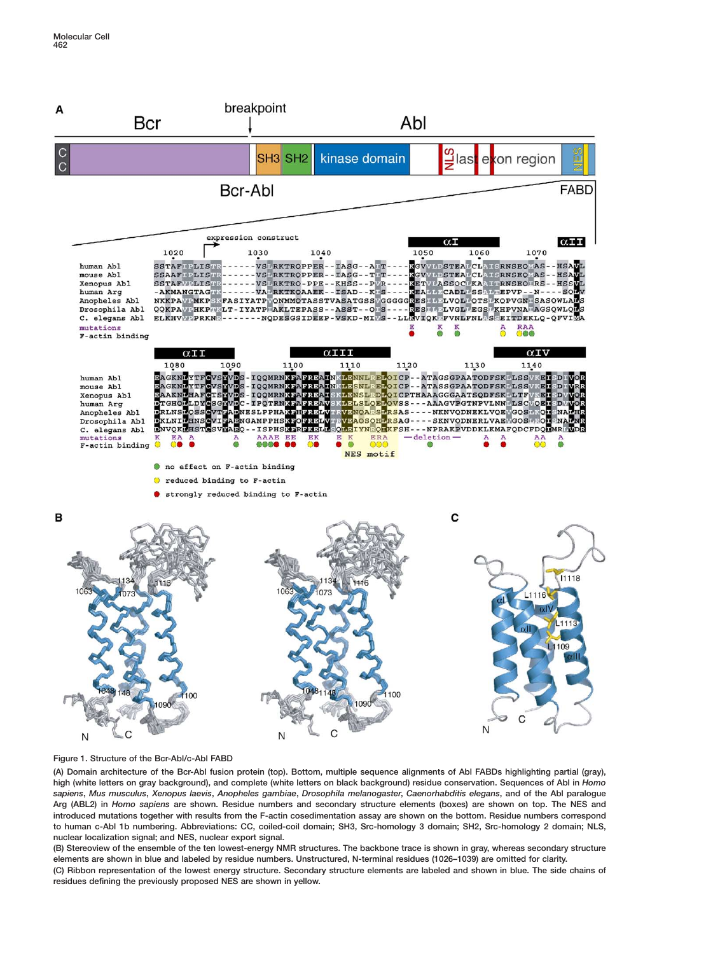<span id="page-1-0"></span>

**Figure 1. Structure of the Bcr-Abl/c-Abl FABD**

**(A) Domain architecture of the Bcr-Abl fusion protein (top). Bottom, multiple sequence alignments of Abl FABDs highlighting partial (gray), high (white letters on gray background), and complete (white letters on black background) residue conservation. Sequences of Abl in** *Homo sapiens***,** *Mus musculus***,** *Xenopus laevis***,** *Anopheles gambiae***,** *Drosophila melanogaster***,** *Caenorhabditis elegans***, and of the Abl paralogue Arg (ABL2) in** *Homo sapiens* **are shown. Residue numbers and secondary structure elements (boxes) are shown on top. The NES and introduced mutations together with results from the F-actin cosedimentation assay are shown on the bottom. Residue numbers correspond to human c-Abl 1b numbering. Abbreviations: CC, coiled-coil domain; SH3, Src-homology 3 domain; SH2, Src-homology 2 domain; NLS, nuclear localization signal; and NES, nuclear export signal.**

**(B) Stereoview of the ensemble of the ten lowest-energy NMR structures. The backbone trace is shown in gray, whereas secondary structure elements are shown in blue and labeled by residue numbers. Unstructured, N-terminal residues (1026–1039) are omitted for clarity. (C) Ribbon representation of the lowest energy structure. Secondary structure elements are labeled and shown in blue. The side chains of residues defining the previously proposed NES are shown in yellow.**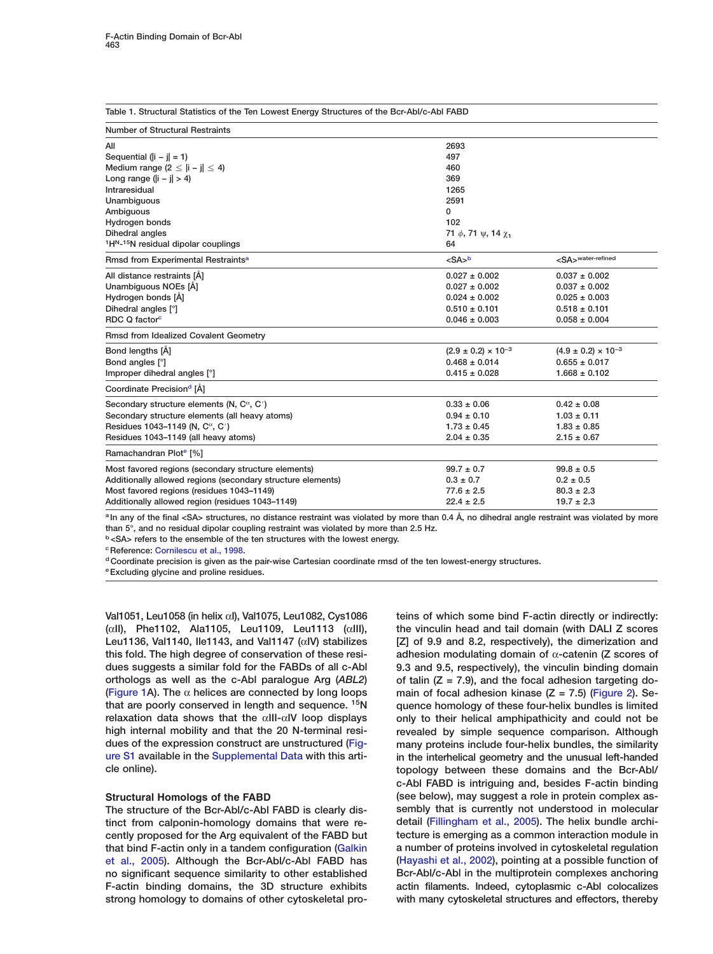| <b>Number of Structural Restraints</b>                                   |                                                |                                   |  |
|--------------------------------------------------------------------------|------------------------------------------------|-----------------------------------|--|
| All                                                                      | 2693                                           |                                   |  |
| Sequential $(\vert i - j \vert = 1)$                                     | 497                                            |                                   |  |
| Medium range $(2 \leq  i - j  \leq 4)$                                   | 460                                            |                                   |  |
| Long range ( $   -    > 4$ )                                             | 369                                            |                                   |  |
| Intraresidual                                                            | 1265                                           |                                   |  |
| Unambiguous                                                              | 2591                                           |                                   |  |
| Ambiguous                                                                | 0                                              |                                   |  |
| Hydrogen bonds                                                           | 102                                            |                                   |  |
| Dihedral angles                                                          | 71 $\phi$ , 71 $\psi$ , 14 $\chi$ <sub>1</sub> |                                   |  |
| <sup>1</sup> H <sup>N</sup> - <sup>15</sup> N residual dipolar couplings | 64                                             |                                   |  |
| Rmsd from Experimental Restraints <sup>a</sup>                           | $<$ SA $>$ b                                   | <sa><sup>water-refined</sup></sa> |  |
| All distance restraints [Å]                                              | $0.027 \pm 0.002$                              | $0.037 \pm 0.002$                 |  |
| Unambiguous NOEs [Å]                                                     | $0.027 \pm 0.002$                              | $0.037 \pm 0.002$                 |  |
| Hydrogen bonds [Å]                                                       | $0.024 \pm 0.002$                              | $0.025 \pm 0.003$                 |  |
| Dihedral angles [°]                                                      | $0.510 \pm 0.101$                              | $0.518 \pm 0.101$                 |  |
| RDC Q factor <sup>c</sup>                                                | $0.046 \pm 0.003$                              | $0.058 \pm 0.004$                 |  |
| <b>Rmsd from Idealized Covalent Geometry</b>                             |                                                |                                   |  |
| Bond lengths [A]                                                         | $(2.9 \pm 0.2) \times 10^{-3}$                 | $(4.9 \pm 0.2) \times 10^{-3}$    |  |
| Bond angles [°]                                                          | $0.468 \pm 0.014$                              | $0.655 \pm 0.017$                 |  |
| Improper dihedral angles [°]                                             | $1.668 \pm 0.102$<br>$0.415 \pm 0.028$         |                                   |  |
| Coordinate Precision <sup>d</sup> [Å]                                    |                                                |                                   |  |
| Secondary structure elements (N, $C^{\alpha}$ , C')                      | $0.33 \pm 0.06$                                | $0.42 \pm 0.08$                   |  |
| Secondary structure elements (all heavy atoms)                           | $0.94 \pm 0.10$                                | $1.03 \pm 0.11$                   |  |
| Residues 1043-1149 (N, C <sup>α</sup> , C <sup>'</sup> )                 | $1.73 \pm 0.45$                                | $1.83 \pm 0.85$                   |  |
| Residues 1043-1149 (all heavy atoms)                                     | $2.04 \pm 0.35$                                | $2.15 \pm 0.67$                   |  |
| Ramachandran Plote [%]                                                   |                                                |                                   |  |
| Most favored regions (secondary structure elements)                      | $99.7 \pm 0.7$                                 | $99.8 \pm 0.5$                    |  |
| Additionally allowed regions (secondary structure elements)              | $0.3 \pm 0.7$                                  | $0.2 \pm 0.5$                     |  |
| Most favored regions (residues 1043-1149)                                | $77.6 \pm 2.5$                                 | $80.3 \pm 2.3$                    |  |
| Additionally allowed region (residues 1043-1149)                         | $22.4 \pm 2.5$                                 | $19.7 \pm 2.3$                    |  |
|                                                                          |                                                |                                   |  |

<span id="page-2-0"></span>**Table 1. Structural Statistics of the Ten Lowest Energy Structures of the Bcr-Abl/c-Abl FABD**

**<sup>a</sup> In any of the final <SA> structures, no distance restraint was violated by more than 0.4 Å, no dihedral angle restraint was violated by more than 5°, and no residual dipolar coupling restraint was violated by more than 2.5 Hz.**

**<sup>b</sup> <SA> refers to the ensemble of the ten structures with the lowest energy.**

**cReference: [Cornilescu et al., 1998.](#page-11-0)**

**dCoordinate precision is given as the pair-wise Cartesian coordinate rmsd of the ten lowest-energy structures.**

**eExcluding glycine and proline residues.**

**Val1051, Leu1058 (in helix** α**I), Val1075, Leu1082, Cys1086 teins of which some bind F-actin directly or indirectly: (**α**II), Phe1102, Ala1105, Leu1109, Leu1113 (**α**III), the vinculin head and tail domain (with DALI Z scores Leu1136, Val1140, Ile1143, and Val1147 (**α**IV) stabilizes [Z] of 9.9 and 8.2, respectively), the dimerization and this fold. The high degree of conservation of these resi- adhesion modulating domain of** α**-catenin (Z scores of dues suggests a similar fold for the FABDs of all c-Abl 9.3 and 9.5, respectively), the vinculin binding domain orthologs as well as the c-Abl paralogue Arg (***ABL2***) of talin (Z = 7.9), and the focal adhesion targeting do- [\(Figure 1A](#page-1-0)). The** α **helices are connected by long loops main of focal adhesion kinase (Z = 7.5) [\(Figure 2\)](#page-3-0). Sethat are poorly conserved in length and sequence. 15N quence homology of these four-helix bundles is limited relaxation data shows that the** α**III-**α**IV loop displays only to their helical amphipathicity and could not be high internal mobility and that the 20 N-terminal resi- revealed by simple sequence comparison. Although dues of the expression construct are unstructured (Fig- many proteins include four-helix bundles, the similarity ure S1 available in the Supplemental Data with this arti- in the interhelical geometry and the unusual left-handed**

**The structure of the Bcr-Abl/c-Abl FABD is clearly dis- sembly that is currently not understood in molecular tinct from calponin-homology domains that were re- detail [\(Fillingham et al., 2005\)](#page-11-0). The helix bundle archicently proposed for the Arg equivalent of the FABD but tecture is emerging as a common interaction module in that bind F-actin only in a tandem configuration [\(Galkin](#page-11-0) a number of proteins involved in cytoskeletal regulation [et al., 2005\)](#page-11-0). Although the Bcr-Abl/c-Abl FABD has [\(Hayashi et al., 2002\)](#page-11-0), pointing at a possible function of no significant sequence similarity to other established Bcr-Abl/c-Abl in the multiprotein complexes anchoring F-actin binding domains, the 3D structure exhibits actin filaments. Indeed, cytoplasmic c-Abl colocalizes strong homology to domains of other cytoskeletal pro- with many cytoskeletal structures and effectors, thereby**

**cle online). topology between these domains and the Bcr-Abl/ c-Abl FABD is intriguing and, besides F-actin binding Structural Homologs of the FABD (see below), may suggest a role in protein complex as-**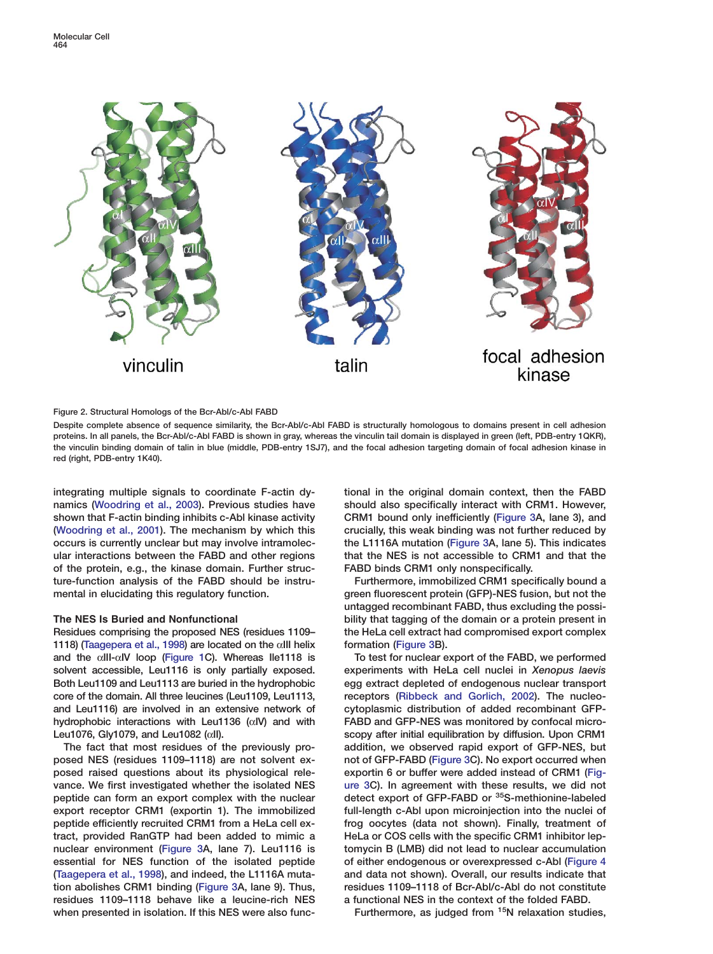<span id="page-3-0"></span>

## **Figure 2. Structural Homologs of the Bcr-Abl/c-Abl FABD**

**Despite complete absence of sequence similarity, the Bcr-Abl/c-Abl FABD is structurally homologous to domains present in cell adhesion proteins. In all panels, the Bcr-Abl/c-Abl FABD is shown in gray, whereas the vinculin tail domain is displayed in green (left, PDB-entry 1QKR), the vinculin binding domain of talin in blue (middle, PDB-entry 1SJ7), and the focal adhesion targeting domain of focal adhesion kinase in red (right, PDB-entry 1K40).**

**integrating multiple signals to coordinate F-actin dy- tional in the original domain context, then the FABD namics [\(Woodring et al., 2003](#page-12-0)). Previous studies have should also specifically interact with CRM1. However, shown that F-actin binding inhibits c-Abl kinase activity CRM1 bound only inefficiently [\(Figure 3A](#page-5-0), lane 3), and [\(Woodring et al., 2001\)](#page-12-0). The mechanism by which this crucially, this weak binding was not further reduced by occurs is currently unclear but may involve intramolec- the L1116A mutation [\(Figure 3A](#page-5-0), lane 5). This indicates ular interactions between the FABD and other regions that the NES is not accessible to CRM1 and that the of the protein, e.g., the kinase domain. Further struc- FABD binds CRM1 only nonspecifically. ture-function analysis of the FABD should be instru- Furthermore, immobilized CRM1 specifically bound a** mental in elucidating this regulatory function. **green fluorescent protein (GFP)-NES** fusion, but not the

**1118) [\(Taagepera et al., 1998\)](#page-12-0) are located on the** α**III helix formation [\(Figure 3B](#page-5-0)). and the** α**III-**α**IV loop [\(Figure 1](#page-1-0)C). Whereas Ile1118 is To test for nuclear export of the FABD, we performed solvent accessible, Leu1116 is only partially exposed. experiments with HeLa cell nuclei in** *Xenopus laevis* **Both Leu1109 and Leu1113 are buried in the hydrophobic egg extract depleted of endogenous nuclear transport core of the domain. All three leucines (Leu1109, Leu1113, receptors [\(Ribbeck and Gorlich, 2002\)](#page-12-0). The nucleoand Leu1116) are involved in an extensive network of cytoplasmic distribution of added recombinant GFPhydrophobic interactions with Leu1136 (**α**IV) and with FABD and GFP-NES was monitored by confocal micro-Leu1076, Gly1079, and Leu1082 (**α**II). scopy after initial equilibration by diffusion. Upon CRM1**

**posed NES (residues 1109–1118) are not solvent ex- not of GFP-FABD [\(Figure 3C](#page-5-0)). No export occurred when posed raised questions about its physiological rele- exportin 6 or buffer were added instead of CRM1 [\(Fig](#page-5-0)vance. We first investigated whether the isolated NES [ure 3C](#page-5-0)). In agreement with these results, we did not detect export of GFP-FABD or <sup>35</sup>S-methionine-labeled peptide can form an export of GFP-FABD** or <sup>35</sup>S-methionine-labeled **export receptor CRM1 (exportin 1). The immobilized full-length c-Abl upon microinjection into the nuclei of peptide efficiently recruited CRM1 from a HeLa cell ex- frog oocytes (data not shown). Finally, treatment of tract, provided RanGTP had been added to mimic a HeLa or COS cells with the specific CRM1 inhibitor lepnuclear environment [\(Figure 3A](#page-5-0), lane 7). Leu1116 is tomycin B (LMB) did not lead to nuclear accumulation essential for NES function of the isolated peptide of either endogenous or overexpressed c-Abl [\(Figure 4](#page-7-0) [\(Taagepera et al., 1998\)](#page-12-0), and indeed, the L1116A muta- and data not shown). Overall, our results indicate that tion abolishes CRM1 binding [\(Figure 3A](#page-5-0), lane 9). Thus, residues 1109–1118 of Bcr-Abl/c-Abl do not constitute residues 1109–1118 behave like a leucine-rich NES a functional NES in the context of the folded FABD.** when presented in isolation. If this NES were also func-<br>Furthermore, as judged from <sup>15</sup>N relaxation studies,

**untagged recombinant FABD, thus excluding the possi-The NES Is Buried and Nonfunctional bility that tagging of the domain or a protein present in Residues comprising the proposed NES (residues 1109– the HeLa cell extract had compromised export complex**

**The fact that most residues of the previously pro- addition, we observed rapid export of GFP-NES, but**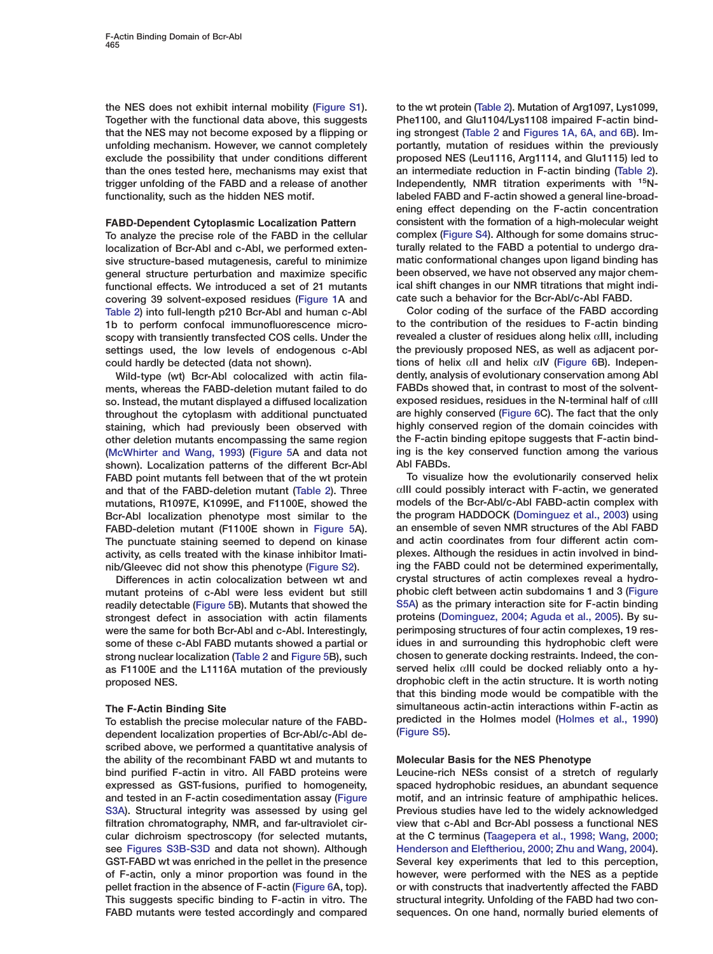**the NES does not exhibit internal mobility (Figure S1). to the wt protein [\(Table 2\)](#page-8-0). Mutation of Arg1097, Lys1099, Together with the functional data above, this suggests Phe1100, and Glu1104/Lys1108 impaired F-actin bindthat the NES may not become exposed by a flipping or ing strongest [\(Table 2](#page-8-0) and [Figures 1A, 6A, and 6B\)](#page-1-0). Imunfolding mechanism. However, we cannot completely portantly, mutation of residues within the previously exclude the possibility that under conditions different proposed NES (Leu1116, Arg1114, and Glu1115) led to than the ones tested here, mechanisms may exist that an intermediate reduction in F-actin binding [\(Table 2\)](#page-8-0). trigger unfolding of the FABD and a release of another Independently, NMR titration experiments with 15Nfunctionality, such as the hidden NES motif. labeled FABD and F-actin showed a general line-broad-**

**localization of Bcr-Abl and c-Abl, we performed exten- turally related to the FABD a potential to undergo drasive structure-based mutagenesis, careful to minimize matic conformational changes upon ligand binding has general structure perturbation and maximize specific been observed, we have not observed any major chemfunctional effects. We introduced a set of 21 mutants ical shift changes in our NMR titrations that might indicovering 39 solvent-exposed residues [\(Figure 1A](#page-1-0) and cate such a behavior for the Bcr-Abl/c-Abl FABD. [Table 2\)](#page-8-0) into full-length p210 Bcr-Abl and human c-Abl Color coding of the surface of the FABD according 1b to perform confocal immunofluorescence micro- to the contribution of the residues to F-actin binding scopy with transiently transfected COS cells. Under the revealed a cluster of residues along helix** α**III, including** settings used, the low levels of endogenous c-Abl

**ments, whereas the FABD-deletion mutant failed to do FABDs showed that, in contrast to most of the solventso. Instead, the mutant displayed a diffused localization exposed residues, residues in the N-terminal half of** α**III throughout the cytoplasm with additional punctuated are highly conserved (Figure 6C). The fact that the only staining, which had previously been observed with highly conserved region of the domain coincides with other deletion mutants encompassing the same region the F-actin binding epitope suggests that F-actin bind- [\(McWhirter and Wang, 1993\)](#page-11-0) (Figure 5A and data not ing is the key conserved function among the various shown). Localization patterns of the different Bcr-Abl Abl FABDs. FABD point mutants fell between that of the wt protein To visualize how the evolutionarily conserved helix and that of the FABD-deletion mutant [\(Table 2\)](#page-8-0). Three** α**III could possibly interact with F-actin, we generated mutations, R1097E, K1099E, and F1100E, showed the models of the Bcr-Abl/c-Abl FABD-actin complex with Bcr-Abl localization phenotype most similar to the the program HADDOCK [\(Dominguez et al., 2003\)](#page-11-0) using FABD-deletion mutant (F1100E shown in Figure 5A). an ensemble of seven NMR structures of the Abl FABD The punctuate staining seemed to depend on kinase and actin coordinates from four different actin comactivity, as cells treated with the kinase inhibitor Imati- plexes. Although the residues in actin involved in bind-**

**mutant proteins of c-Abl were less evident but still phobic cleft between actin subdomains 1 and 3 (Figure readily detectable (Figure 5B). Mutants that showed the S5A) as the primary interaction site for F-actin binding strongest defect in association with actin filaments were the same for both Bcr-Abl and c-Abl. Interestingly, perimposing structures of four actin complexes, 19 ressome of these c-Abl FABD mutants showed a partial or idues in and surrounding this hydrophobic cleft were strong nuclear localization [\(Table 2](#page-8-0) and Figure 5B), such chosen to generate docking restraints. Indeed, the conas F1100E and the L1116A mutation of the previously served helix** α**III could be docked reliably onto a hyproposed NES. drophobic cleft in the actin structure. It is worth noting**

**To establish the precise molecular nature of the FABD- predicted in the predicted in the Holmes model** (Figure S5). **dependent localization properties of Bcr-Abl/c-Abl de- (Figure S5). scribed above, we performed a quantitative analysis of the ability of the recombinant FABD wt and mutants to Molecular Basis for the NES Phenotype bind purified F-actin in vitro. All FABD proteins were Leucine-rich NESs consist of a stretch of regularly expressed as GST-fusions, purified to homogeneity, spaced hydrophobic residues, an abundant sequence and tested in an F-actin cosedimentation assay (Figure motif, and an intrinsic feature of amphipathic helices.** S3A). Structural integrity was assessed by using gel Previous studies have led to the widely acknowledged **filtration chromatography, NMR, and far-ultraviolet cir- view that c-Abl and Bcr-Abl possess a functional NES cular dichroism spectroscopy (for selected mutants, at the C terminus [\(Taagepera et al., 1998; Wang, 2000;](#page-12-0) see Figures S3B-S3D and data not shown). Although [Henderson and Eleftheriou, 2000; Zhu and Wang, 2004\)](#page-12-0). GST-FABD wt was enriched in the pellet in the presence Several key experiments that led to this perception, of F-actin, only a minor proportion was found in the however, were performed with the NES as a peptide pellet fraction in the absence of F-actin (Figure 6A, top). or with constructs that inadvertently affected the FABD This suggests specific binding to F-actin in vitro. The structural integrity. Unfolding of the FABD had two con-FABD mutants were tested accordingly and compared sequences. On one hand, normally buried elements of**

**ening effect depending on the F-actin concentration FABD-Dependent Cytoplasmic Localization Pattern consistent with the formation of a high-molecular weight To analyze the precise role of the FABD in the cellular complex (Figure S4). Although for some domains struc-**

**could hardly be detected (data not shown). tions of helix** α**II and helix** α**IV (Figure 6B). Indepen-Wild-type (wt) Bcr-Abl colocalized with actin fila- dently, analysis of evolutionary conservation among Abl**

**nib/Gleevec did not show this phenotype (Figure S2). ing the FABD could not be determined experimentally, Differences in actin colocalization between wt and crystal structures of actin complexes reveal a hydrothat this binding mode would be compatible with the The F-Actin Binding Site simultaneous actin-actin interactions within F-actin as**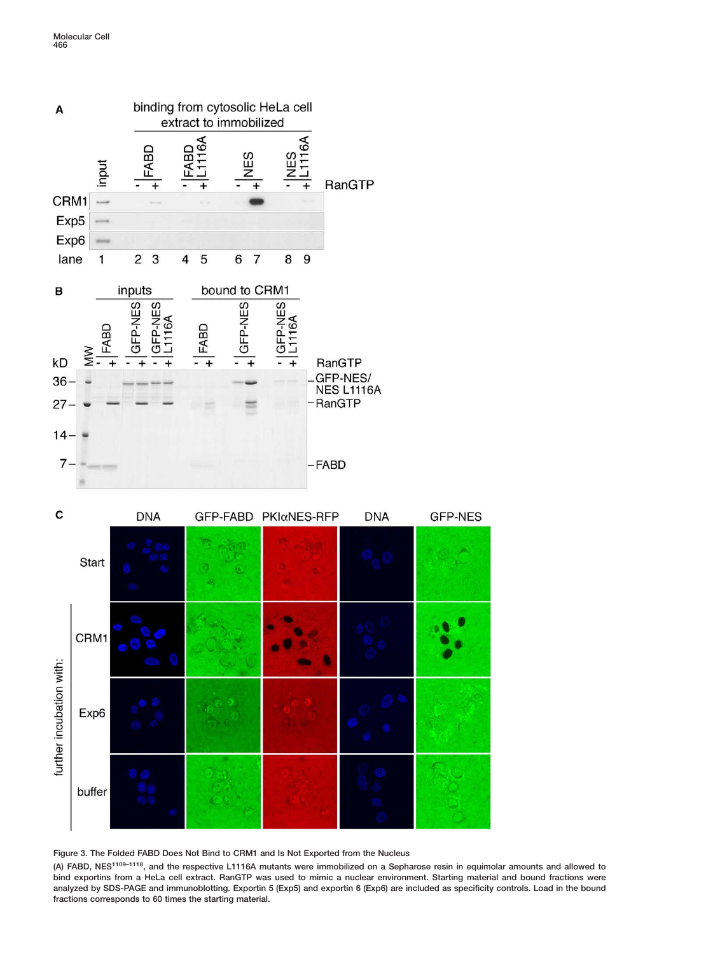<span id="page-5-0"></span>



**Figure 3. The Folded FABD Does Not Bind to CRM1 and Is Not Exported from the Nucleus**

**(A) FABD, NES1109–1118, and the respective L1116A mutants were immobilized on a Sepharose resin in equimolar amounts and allowed to bind exportins from a HeLa cell extract. RanGTP was used to mimic a nuclear environment. Starting material and bound fractions were analyzed by SDS-PAGE and immunoblotting. Exportin 5 (Exp5) and exportin 6 (Exp6) are included as specificity controls. Load in the bound fractions corresponds to 60 times the starting material.**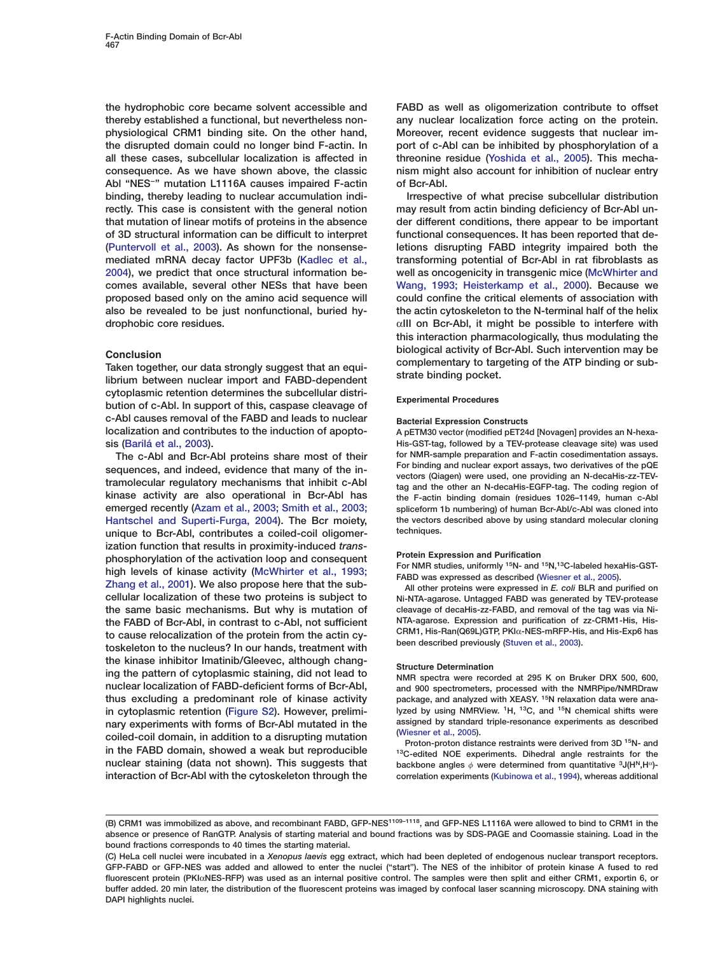**thereby established a functional, but nevertheless non- any nuclear localization force acting on the protein. physiological CRM1 binding site. On the other hand, Moreover, recent evidence suggests that nuclear imthe disrupted domain could no longer bind F-actin. In port of c-Abl can be inhibited by phosphorylation of a all these cases, subcellular localization is affected in threonine residue [\(Yoshida et al., 2005\)](#page-12-0). This mechaconsequence. As we have shown above, the classic nism might also account for inhibition of nuclear entry Abl "NES−" mutation L1116A causes impaired F-actin of Bcr-Abl. binding, thereby leading to nuclear accumulation indi- Irrespective of what precise subcellular distribution** rectly. This case is consistent with the general notion may result from actin binding deficiency of Bcr-Abl un**that mutation of linear motifs of proteins in the absence der different conditions, there appear to be important of 3D structural information can be difficult to interpret functional consequences. It has been reported that de- [\(Puntervoll et al., 2003\)](#page-12-0). As shown for the nonsense- letions disrupting FABD integrity impaired both the mediated mRNA decay factor UPF3b [\(Kadlec et al.,](#page-11-0) transforming potential of Bcr-Abl in rat fibroblasts as [2004](#page-11-0)), we predict that once structural information be- well as oncogenicity in transgenic mice [\(McWhirter and](#page-11-0) comes available, several other NESs that have been [Wang, 1993; Heisterkamp et al., 2000](#page-11-0)). Because we proposed based only on the amino acid sequence will could confine the critical elements of association with also be revealed to be just nonfunctional, buried hy- the actin cytoskeleton to the N-terminal half of the helix drophobic core residues.** α**III on Bcr-Abl, it might be possible to interfere with**

**cytoplasmic retention determines the subcellular distri- Experimental Procedures bution of c-Abl. In support of this, caspase cleavage of c-Abl causes removal of the FABD and leads to nuclear Bacterial Expression Constructs localization and contributes to the induction of apopto- A pETM30 vector (modified pET24d [Novagen] provides an N-hexa-**

sequences, and indeed, evidence that many of the in-<br>tramolecular regulatory mechanisms that inhibit c-Abl<br>tag and the other an N-decaHis-EGFP-tag. The coding region of **kinase activity are also operational in Bcr-Abl has the F-actin binding domain (residues 1026–1149, human c-Abl emerged recently [\(Azam et al., 2003; Smith et al., 2003;](#page-11-0) spliceform 1b numbering) of human Bcr-Abl/c-Abl was cloned into [Hantschel and Superti-Furga, 2004\)](#page-11-0). The Bcr moiety, the vectors described above by using standard molecular cloning** unique to Bcr-Abl, contributes a coiled-coil oligomerization function that results in proximity-induced *trans*-<br>phosphorylation of the activation loop and consequent<br>high levels of kinase activity [\(McWhirter et al., 1993;](#page-12-0)<br>[Zhang et al., 2001\)](#page-12-0). We also propose here that the s **cellular localization of these two proteins is subject to Ni-NTA-agarose. Untagged FABD was generated by TEV-protease the same basic mechanisms. But why is mutation of cleavage of decaHis-zz-FABD, and removal of the tag was via Nithe FABD of Bcr-Abl, in contrast to c-Abl, not sufficient** NTA-agarose. Expression and purification of zz-CRM1-His, His-<br> **to cause relocalization of the protein from the actin cy.** CRM1, His-Ran(Q69L)GTP, PKI $\alpha$ -NES-mRF to cause relocalization of the protein from the actin cy-<br>toskeleton to the nucleus? In our hands, treatment with been described previously [\(Stuven et al., 2003\)](#page-12-0). **the kinase inhibitor Imatinib/Gleevec, although chang- Structure Determination ing the pattern of cytoplasmic staining, did not lead to NMR spectra were recorded at 295 K on Bruker DRX 500, 600, thus excluding a predominant role of kinase activity** package, and analyzed with XEASY. <sup>15</sup>N relaxation data were anain cytoplasmic retention (Figure S2). However, prelimi-<br>nary experiments with forms of Bcr-Abl mutated in the assigned by standard triple-resonance experiments as described mary experiments with forms of Bcr-Abl mutated in the assigned by standard triple-resonance experiments as described<br>coiled-coil domain, in addition to a disrupting mutation<br>in the FABD domain, showed a weak but reproduci **interaction of Bcr-Abl with the cytoskeleton through the correlation experiments [\(Kubinowa et al., 1994\)](#page-11-0), whereas additional**

**the hydrophobic core became solvent accessible and FABD as well as oligomerization contribute to offset**

**this interaction pharmacologically, thus modulating the Conclusion**<br>
Taken together, our data strongly suggest that an equi-<br>
librium between nuclear import and FABD-dependent<br>
librium between nuclear import and FABD-dependent<br>
strate binding pocket.

**sis [\(Barilá et al., 2003\)](#page-11-0). His-GST-tag, followed by a TEV-protease cleavage site) was used The c-Abl and Bcr-Abl proteins share most of their for NMR-sample preparation and F-actin cosedimentation assays.**

and 900 spectrometers, processed with the NMRPipe/NMRDraw

**backbone angles**  $\phi$  were determined from quantitative <sup>3</sup>J(H<sup>N</sup>,H<sup>α</sup>)-

**<sup>(</sup>B) CRM1 was immobilized as above, and recombinant FABD, GFP-NES1109–1118, and GFP-NES L1116A were allowed to bind to CRM1 in the absence or presence of RanGTP. Analysis of starting material and bound fractions was by SDS-PAGE and Coomassie staining. Load in the bound fractions corresponds to 40 times the starting material.**

**<sup>(</sup>C) HeLa cell nuclei were incubated in a** *Xenopus laevis* **egg extract, which had been depleted of endogenous nuclear transport receptors. GFP-FABD or GFP-NES was added and allowed to enter the nuclei ("start"). The NES of the inhibitor of protein kinase A fused to red fluorescent protein (PKI**α**NES-RFP) was used as an internal positive control. The samples were then split and either CRM1, exportin 6, or buffer added. 20 min later, the distribution of the fluorescent proteins was imaged by confocal laser scanning microscopy. DNA staining with DAPI highlights nuclei.**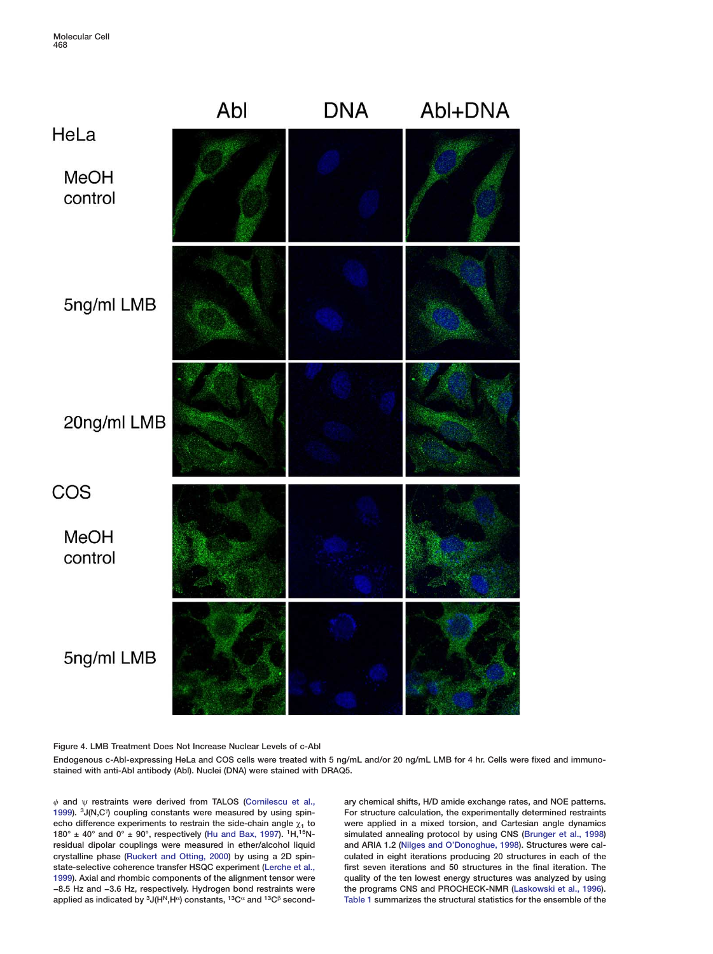<span id="page-7-0"></span>

**Figure 4. LMB Treatment Does Not Increase Nuclear Levels of c-Abl**

**Endogenous c-Abl-expressing HeLa and COS cells were treated with 5 ng/mL and/or 20 ng/mL LMB for 4 hr. Cells were fixed and immunostained with anti-Abl antibody (Abl). Nuclei (DNA) were stained with DRAQ5.**

f **and** ψ **restraints were derived from TALOS [\(Cornilescu et al.,](#page-11-0) ary chemical shifts, H/D amide exchange rates, and NOE patterns.** 1999). <sup>3</sup> J(N,C<sup>\*</sup>) coupling constants were measured by using spin**echo difference experiments to restrain the side-chain angle**  $\chi_1$  **to** were applied in a mixed torsion, and Cartesian angle dynamics 180° ± 40° and 0° ± 90°, respectively (Hu and Bax, 1997). <sup>1</sup>H,<sup>15</sup>N- simulated anne **residual dipolar couplings were measured in ether/alcohol liquid and ARIA 1.2 [\(Nilges and O'Donoghue, 1998\)](#page-12-0). Structures were calstate-selective coherence transfer HSQC experiment [\(Lerche et al.,](#page-11-0) first seven iterations and 50 structures in the final iteration. The [1999\)](#page-11-0). Axial and rhombic components of the alignment tensor were quality of the ten lowest energy structures was analyzed by using −8.5 Hz and −3.6 Hz, respectively. Hydrogen bond restraints were the programs CNS and PROCHECK-NMR [\(Laskowski et al., 1996\)](#page-11-0).**

**[1999\)](#page-11-0)** For structure calculation, the experimentally determined restraints  $\frac{1}{2}$  simulated annealing protocol by using CNS [\(Brunger et al., 1998](#page-11-0)) culated in eight iterations producing 20 structures in each of the **[Table 1](#page-2-0) summarizes the structural statistics for the ensemble of the**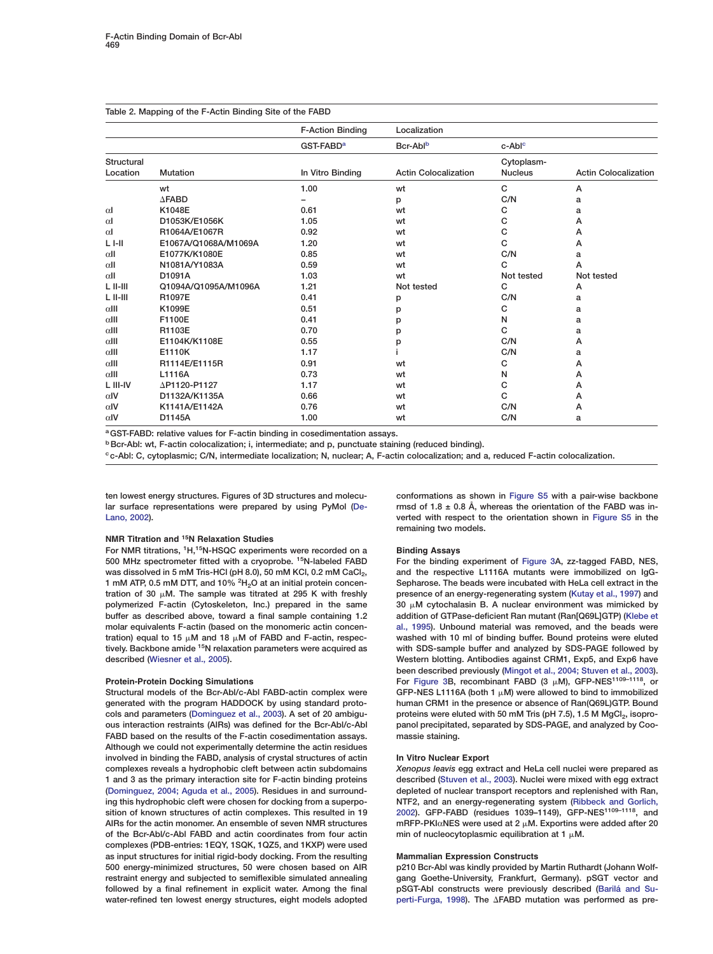<span id="page-8-0"></span>

|              |                      | <b>F-Action Binding</b> | Localization                |                    |                             |
|--------------|----------------------|-------------------------|-----------------------------|--------------------|-----------------------------|
|              |                      | GST-FABD <sup>a</sup>   | Bcr-Ablb                    | c-Abl <sup>c</sup> |                             |
| Structural   |                      |                         |                             | Cytoplasm-         |                             |
| Location     | <b>Mutation</b>      | In Vitro Binding        | <b>Actin Colocalization</b> | <b>Nucleus</b>     | <b>Actin Colocalization</b> |
|              | wt                   | 1.00                    | wt                          | C                  | A                           |
|              | $\Delta$ FABD        |                         | p                           | C/N                | а                           |
| $\alpha$     | K1048E               | 0.61                    | wt                          | с                  | a                           |
| $\alpha$     | D1053K/E1056K        | 1.05                    | wt                          | с                  | А                           |
| $\alpha$     | R1064A/E1067R        | 0.92                    | wt                          | C                  | Α                           |
| $L$ I-II     | E1067A/Q1068A/M1069A | 1.20                    | wt                          | С                  | А                           |
| $\alpha$ II  | E1077K/K1080E        | 0.85                    | wt                          | C/N                | a                           |
| $\alpha$ II  | N1081A/Y1083A        | 0.59                    | wt                          | C                  | A                           |
| $\alpha$ II  | D1091A               | 1.03                    | wt                          | Not tested         | Not tested                  |
| $L$ II-III   | Q1094A/Q1095A/M1096A | 1.21                    | Not tested                  | C                  | Α                           |
| $L$ II-III   | R1097E               | 0.41                    | р                           | C/N                | a                           |
| $\alpha$ III | K1099E               | 0.51                    | р                           | C                  | a                           |
| $\alpha$ III | F1100E               | 0.41                    | p                           | N                  | a                           |
| $\alpha$ III | R1103E               | 0.70                    | p                           | C                  | a                           |
| $\alpha$ III | E1104K/K1108E        | 0.55                    | р                           | C/N                | А                           |
| $\alpha$ III | E1110K               | 1.17                    |                             | C/N                | а                           |
| $\alpha$ III | R1114E/E1115R        | 0.91                    | wt                          | с                  | Α                           |
| $\alpha$ III | L1116A               | 0.73                    | wt                          | N                  | А                           |
| L III-IV     | ΔP1120-P1127         | 1.17                    | wt                          | C                  | Α                           |
| $\alpha$ IV  | D1132A/K1135A        | 0.66                    | wt                          | C                  | A                           |
| $\alpha$ IV  | K1141A/E1142A        | 0.76                    | wt                          | C/N                | Α                           |
| $\alpha$ IV  | D1145A               | 1.00                    | wt                          | C/N                | a                           |

**aGST-FABD: relative values for F-actin binding in cosedimentation assays.**

**b**Bcr-Abl: wt, F-actin colocalization; i, intermediate; and p, punctuate staining (reduced binding).

**<sup>c</sup> c-Abl: C, cytoplasmic; C/N, intermediate localization; N, nuclear; A, F-actin colocalization; and a, reduced F-actin colocalization.**

# **NMR Titration and 15N Relaxation Studies**

**For NMR titrations, 1H,15N-HSQC experiments were recorded on a Binding Assays 500 MHz spectrometer fitted with a cryoprobe. For the binding experiment of [Figure 3A](#page-5-0), zz-tagged FABD, NES, 15N-labeled FABD** was dissolved in 5 mM Tris-HCl (pH 8.0), 50 mM KCl, 0.2 mM CaCl<sub>2</sub>, and the respective L1116A mutants were immobilized on IgG-<br>1 mM ATP 0.5 mM DTT, and 10% <sup>2</sup>H<sub>2</sub>O at an initial protein concen-<br>Sepharose, The beads were i **1 mM ATP, 0.5 mM DTT, and 10% <sup>2</sup>H<sub>2</sub>O at an initial protein concen**tration of 30  $\mu$ M. The sample was titrated at 295 K with freshly **polymerized F-actin (Cytoskeleton, Inc.) prepared in the same buffer as described above, toward a final sample containing 1.2 addition of GTPase-deficient Ran mutant (Ran[Q69L]GTP) [\(Klebe et](#page-11-0) molar equivalents F-actin (based on the monomeric actin concen- [al., 1995\)](#page-11-0). Unbound material was removed, and the beads were**  $train$ ) equal to 15  $\mu$ M and 18  $\mu$ tively. Backbone amide <sup>15</sup>N relaxation parameters were acquired as with SDS-sample buffer and analyzed by SDS-PAGE followed by

Structural models of the Bcr-Abl/c-Abl FABD-actin complex were **generated with the program HADDOCK by using standard proto- human CRM1 in the presence or absence of Ran(Q69L)GTP. Bound** cols and parameters [\(Dominguez et al., 2003\)](#page-11-0). A set of 20 ambigu-<br>
panol precipitated, separated by SDS-PAGE, and analyzed by Coo-<br>
panol precipitated, separated by SDS-PAGE, and analyzed by Cooous interaction restraints (AIRs) was defined for the Bcr-Abl/c-Abl **FABD based on the results of the F-actin cosedimentation assays. massie staining. Although we could not experimentally determine the actin residues involved in binding the FABD, analysis of crystal structures of actin In Vitro Nuclear Export complexes reveals a hydrophobic cleft between actin subdomains** *Xenopus leavis* **egg extract and HeLa cell nuclei were prepared as 1 and 3 as the primary interaction site for F-actin binding proteins described [\(Stuven et al., 2003\)](#page-12-0). Nuclei were mixed with egg extract [\(Dominguez, 2004; Aguda et al., 2005\)](#page-11-0). Residues in and surround- depleted of nuclear transport receptors and replenished with Ran, ing this hydrophobic cleft were chosen for docking from a superpo- NTF2, and an energy-regenerating system [\(Ribbeck and Gorlich,](#page-12-0) [2002\)](#page-12-0). GFP-FABD (residues 1039–1149), GFP-NES1109–1118 sition of known structures of actin complexes. This resulted in 19 , and AIRs for the actin monomer. An ensemble of seven NMR structures** of the Bcr-Abl/c-Abl FABD and actin coordinates from four actin **complexes (PDB-entries: 1EQY, 1SQK, 1QZ5, and 1KXP) were used as input structures for initial rigid-body docking. From the resulting Mammalian Expression Constructs 500 energy-minimized structures, 50 were chosen based on AIR p210 Bcr-Abl was kindly provided by Martin Ruthardt (Johann Wolfrestraint energy and subjected to semiflexible simulated annealing gang Goethe-University, Frankfurt, Germany). pSGT vector and followed by a final refinement in explicit water. Among the final pSGT-Abl constructs were previously described [\(Barilá and Su](#page-11-0)water-refined ten lowest energy structures, eight models adopted [perti-Furga, 1998\)](#page-11-0). The FABD mutation was performed as pre-**

**ten lowest energy structures. Figures of 3D structures and molecu- conformations as shown in Figure S5 with a pair-wise backbone lar surface representations were prepared by using PyMol [\(De-](#page-11-0) rmsd of 1.8 ± 0.8 Å, whereas the orientation of the FABD was in-[Lano, 2002](#page-11-0)). verted with respect to the orientation shown in Figure S5 in the remaining two models.**

presence of an energy-regenerating system [\(Kutay et al., 1997](#page-11-0)) and **M cytochalasin B. A nuclear environment was mimicked by** washed with 10 ml of binding buffer. Bound proteins were eluted **described [\(Wiesner et al., 2005\)](#page-12-0). Western blotting. Antibodies against CRM1, Exp5, and Exp6 have been described previously [\(Mingot et al., 2004; Stuven et al., 2003\)](#page-12-0). For** [Figure 3B](#page-5-0), recombinant FABD (3 μM), GFP-NES<sup>1109–1118</sup>, or<br>
For Figure 3B, recombinant FABD (3 μM), GFP-NES<sup>1109–1118</sup>, or GFP-NES L1116A (both 1  $\mu$ M) were allowed to bind to immobilized

**mRFP-PKI**αNES were used at 2 μM. Exportins were added after 20 min of nucleocytoplasmic equilibration at 1  $\mu$ M.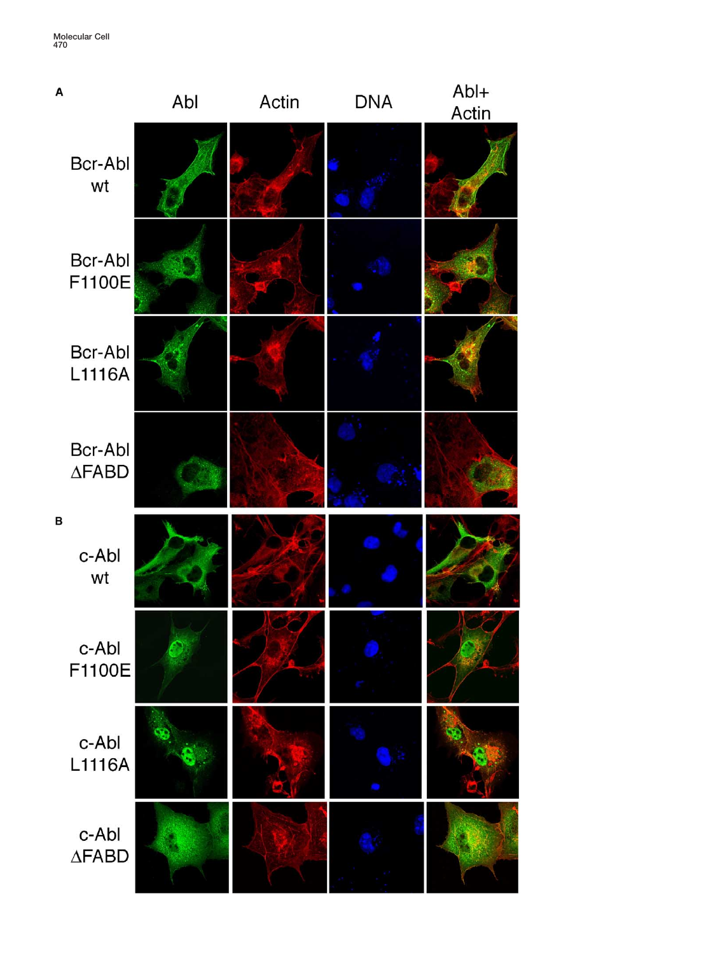**Molecular Cell 470**

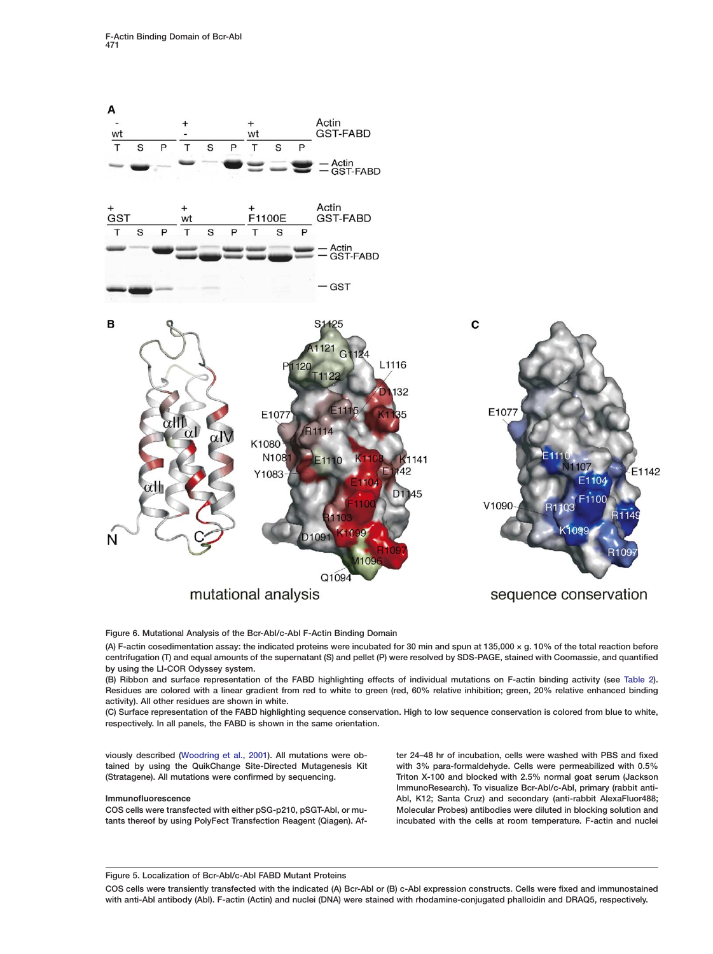

**Figure 6. Mutational Analysis of the Bcr-Abl/c-Abl F-Actin Binding Domain**

**(A) F-actin cosedimentation assay: the indicated proteins were incubated for 30 min and spun at 135,000 × g. 10% of the total reaction before centrifugation (T) and equal amounts of the supernatant (S) and pellet (P) were resolved by SDS-PAGE, stained with Coomassie, and quantified by using the LI-COR Odyssey system.**

**(B) Ribbon and surface representation of the FABD highlighting effects of individual mutations on F-actin binding activity (see [Table 2\)](#page-11-0). Residues are colored with a linear gradient from red to white to green (red, 60% relative inhibition; green, 20% relative enhanced binding activity). All other residues are shown in white.**

**(C) Surface representation of the FABD highlighting sequence conservation. High to low sequence conservation is colored from blue to white, respectively. In all panels, the FABD is shown in the same orientation.**

**viously described [\(Woodring et al., 2001\)](#page-12-0). All mutations were ob- ter 24–48 hr of incubation, cells were washed with PBS and fixed tained by using the QuikChange Site-Directed Mutagenesis Kit with 3% para-formaldehyde. Cells were permeabilized with 0.5% (Stratagene). All mutations were confirmed by sequencing. Triton X-100 and blocked with 2.5% normal goat serum (Jackson ImmunoResearch). To visualize Bcr-Abl/c-Abl, primary (rabbit anti-Immunofluorescence Abl, K12; Santa Cruz) and secondary (anti-rabbit AlexaFluor488; COS cells were transfected with either pSG-p210, pSGT-Abl, or mu- Molecular Probes) antibodies were diluted in blocking solution and tants thereof by using PolyFect Transfection Reagent (Qiagen). Af- incubated with the cells at room temperature. F-actin and nuclei**

**Figure 5. Localization of Bcr-Abl/c-Abl FABD Mutant Proteins**

**COS cells were transiently transfected with the indicated (A) Bcr-Abl or (B) c-Abl expression constructs. Cells were fixed and immunostained with anti-Abl antibody (Abl). F-actin (Actin) and nuclei (DNA) were stained with rhodamine-conjugated phalloidin and DRAQ5, respectively.**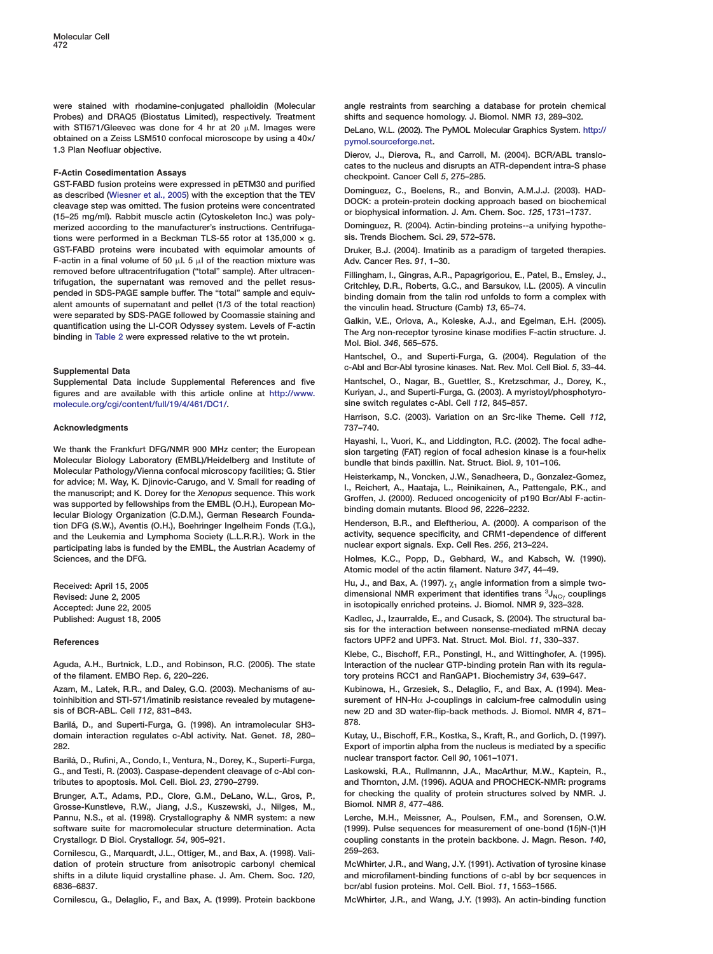**Probes) and DRAQ5 (Biostatus Limited), respectively. Treatment shifts and sequence homology. J. Biomol. NMR** *13***, 289–302.** with STI571/Gleevec was done for 4 hr at 20  $\mu$ M. Images were with STI571/Gleevec was done for 4 hr at 20 μM. Images were<br>obtained on a Zeiss LSM510 confocal microscope by using a 40x/<sub>pymol.sourceforge.net.</sub>

F-Actin Cosedimentation Assays<br>
GST-FABD fusion proteins were expressed in pETM30 and purified<br>
as described [\(Wiesner et al., 2005](#page-12-0)) with the exception that the TEV<br>
cleavage step was omitted. The fusion proteins were conce merized according to the manufacturer's instructions. Centrifuga-<br>
tions were performed in a Beckman TLS-55 rotor at 135.000 x q. sis. Trends Biochem. Sci. 29, 572–578. **ions were performed in a Beckman TLS-55 rotor at 135,000 × g. GST-FABD proteins were incubated with equimolar amounts of Druker, B.J. (2004). Imatinib as a paradigm of targeted therapies.** F-actin in a final volume of 50  $\mu$ l. 5  $\mu$ l of the reaction mixture was Adv. Cancer Res. 91, 1–30. removed before ultracentrifugation ("total" sample). After ultracentrifugation, the supernatant was removed and the pellet resus-<br>
trifugation, the supernatant was removed and the pellet resus-<br>
pended in SDS-PAGE sample b

**figures and are available with this article online at [http://www.](http://www.molecule.org/cgi/content/full/19/4/461/DC1/) Kuriyan, J., and Superti-Furga, G. (2003). A myristoyl/phosphotyro[molecule.org/cgi/content/full/19/4/461/DC1/.](http://www.molecule.org/cgi/content/full/19/4/461/DC1/) sine switch regulates c-Abl. Cell** *112***, 845–857.**

## **Acknowledgments 737–740.**

**Molecular Biology Laboratory (EMBL)/Heidelberg and Institute of bundle that binds paxillin. Nat. Struct. Biol.** *9***, 101–106.** Molecular Pathology/Vienna confocal microscopy facilities; G. Stier<br>for advice; M. Way, K. Djinovic-Carugo, and V. Small for reading of the isterkamp, N., Voncken, J.W., Senadheera, D., Gonzalez-Gomez,<br>the manuscript; and **Henderson, B.R., and Eleftheriou, A. (2000). A comparison of the tion DFG (S.W.), Aventis (O.H.), Boehringer Ingelheim Fonds (T.G.),** and the Leukemia and Lymphoma Society (L.L.R.R.). Work in the activity, sequence specificity, and CRM1-dependen<br>narticipating labs is funded by the FMBL, the Austrian Academy of nuclear export signals. Exp. Cell Res. 256, participating labs is funded by the EMBL, the Austrian Academy of **Sciences, and the DFG. Holmes, K.C., Popp, D., Gebhard, W., and Kabsch, W. (1990).**

**of the filament. EMBO Rep.** *6***, 220–226. tory proteins RCC1 and RanGAP1. Biochemistry** *34***, 639–647.**

**Barilá, D., and Superti-Furga, G. (1998). An intramolecular SH3- 878.**

**Barilá, D., Rufini, A., Condo, I., Ventura, N., Dorey, K., Superti-Furga, nuclear transport factor. Cell** *90***, 1061–1071. G., and Testi, R. (2003). Caspase-dependent cleavage of c-Abl con- Laskowski, R.A., Rullmannn, J.A., MacArthur, M.W., Kaptein, R.,**

Grosse-Kunstleve, R.W., Jiang, J.S., Kuszewski, J., Nilges, M., **Pannu, N.S., et al. (1998). Crystallography & NMR system: a new Lerche, M.H., Meissner, A., Poulsen, F.M., and Sorensen, O.W. software suite for macromolecular structure determination. Acta (1999). Pulse sequences for measurement of one-bond (15)N-(1)H Crystallogr. D Biol. Crystallogr.** *54***, 905–921. coupling constants in the protein backbone. J. Magn. Reson.** *140***,**

**Cornilescu, G., Marquardt, J.L., Ottiger, M., and Bax, A. (1998). Vali- 259–263. dation of protein structure from anisotropic carbonyl chemical McWhirter, J.R., and Wang, J.Y. (1991). Activation of tyrosine kinase shifts in a dilute liquid crystalline phase. J. Am. Chem. Soc.** *120***, and microfilament-binding functions of c-abl by bcr sequences in 6836–6837. bcr/abl fusion proteins. Mol. Cell. Biol.** *11***, 1553–1565.**

**Cornilescu, G., Delaglio, F., and Bax, A. (1999). Protein backbone McWhirter, J.R., and Wang, J.Y. (1993). An actin-binding function**

<span id="page-11-0"></span>were stained with rhodamine-conjugated phalloidin (Molecular angle restraints from searching a database for protein chemical

**obtained on a Zeiss LSM510 confocal microscope by using a 40×/ [pymol.sourceforge.net.](http://pymol.sourceforge.net) 1.3 Plan Neofluar objective. Dierov, J., Dierova, R., and Carroll, M. (2004). BCR/ABL translo-**

**Hantschel, O., and Superti-Furga, G. (2004). Regulation of the c-Abl and Bcr-Abl tyrosine kinases. Nat. Rev. Mol. Cell Biol.** *<sup>5</sup>***, 33–44. Supplemental Data**

**Supplemental Data include Supplemental References and five Hantschel, O., Nagar, B., Guettler, S., Kretzschmar, J., Dorey, K.,**

**Harrison, S.C. (2003). Variation on an Src-like Theme. Cell** *112***,**

**Hayashi, I., Vuori, K., and Liddington, R.C. (2002). The focal adhe-We thank the Frankfurt DFG/NMR 900 MHz center; the European sion targeting (FAT) region of focal adhesion kinase is a four-helix**

**Atomic model of the actin filament. Nature** *347***, 44–49.**

**Hu, J., and Bax, A. (1997).** χ**<sup>1</sup> angle information from a simple two- Received: April 15, 2005 dimensional Transfer of the U.S. 2005**<br>Revised: June 2, 2005<br>**Revised: June 2, 2005 in isotopically enriched proteins. J. Biomol. NMR** *9***, 323–328. Accepted: June 22, 2005**

**Published: August 18, 2005 Kadlec, J., Izaurralde, E., and Cusack, S. (2004). The structural basis for the interaction between nonsense-mediated mRNA decay References factors UPF2 and UPF3. Nat. Struct. Mol. Biol.** *11***, 330–337.**

**Klebe, C., Bischoff, F.R., Ponstingl, H., and Wittinghofer, A. (1995). Aguda, A.H., Burtnick, L.D., and Robinson, R.C. (2005). The state Interaction of the nuclear GTP-binding protein Ran with its regula-**

**Azam, M., Latek, R.R., and Daley, G.Q. (2003). Mechanisms of au- Kubinowa, H., Grzesiek, S., Delaglio, F., and Bax, A. (1994). Meatoinhibition and STI-571/imatinib resistance revealed by mutagene- surement of HN-H**α **J-couplings in calcium-free calmodulin using sis of BCR-ABL. Cell** *112***, 831–843. new 2D and 3D water-flip-back methods. J. Biomol. NMR** *4***, 871–**

**domain interaction regulates c-Abl activity. Nat. Genet.** *18***, 280– Kutay, U., Bischoff, F.R., Kostka, S., Kraft, R., and Gorlich, D. (1997). 282. Export of importin alpha from the nucleus is mediated by a specific**

**tributes to apoptosis. Mol. Cell. Biol.** *23***, 2790–2799. and Thornton, J.M. (1996). AQUA and PROCHECK-NMR: programs Brunger, A.T., Adams, P.D., Clore, G.M., DeLano, W.L., Gros, P., for checking the quality of protein structures solved by NMR. J.**